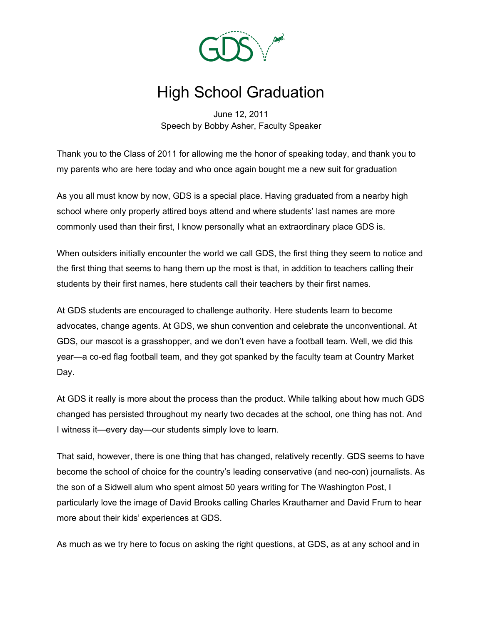

## High School Graduation

June 12, 2011 Speech by Bobby Asher, Faculty Speaker

Thank you to the Class of 2011 for allowing me the honor of speaking today, and thank you to my parents who are here today and who once again bought me a new suit for graduation

As you all must know by now, GDS is a special place. Having graduated from a nearby high school where only properly attired boys attend and where students' last names are more commonly used than their first, I know personally what an extraordinary place GDS is.

When outsiders initially encounter the world we call GDS, the first thing they seem to notice and the first thing that seems to hang them up the most is that, in addition to teachers calling their students by their first names, here students call their teachers by their first names.

At GDS students are encouraged to challenge authority. Here students learn to become advocates, change agents. At GDS, we shun convention and celebrate the unconventional. At GDS, our mascot is a grasshopper, and we don't even have a football team. Well, we did this year—a co-ed flag football team, and they got spanked by the faculty team at Country Market Day.

At GDS it really is more about the process than the product. While talking about how much GDS changed has persisted throughout my nearly two decades at the school, one thing has not. And I witness it—every day—our students simply love to learn.

That said, however, there is one thing that has changed, relatively recently. GDS seems to have become the school of choice for the country's leading conservative (and neo-con) journalists. As the son of a Sidwell alum who spent almost 50 years writing for The Washington Post, I particularly love the image of David Brooks calling Charles Krauthamer and David Frum to hear more about their kids' experiences at GDS.

As much as we try here to focus on asking the right questions, at GDS, as at any school and in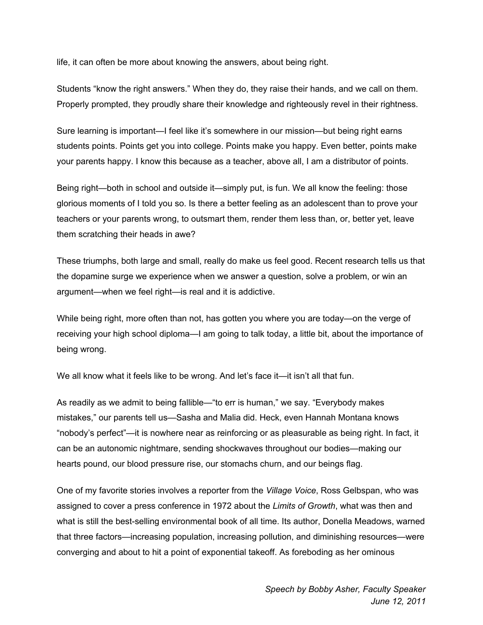life, it can often be more about knowing the answers, about being right.

Students "know the right answers." When they do, they raise their hands, and we call on them. Properly prompted, they proudly share their knowledge and righteously revel in their rightness.

Sure learning is important—I feel like it's somewhere in our mission—but being right earns students points. Points get you into college. Points make you happy. Even better, points make your parents happy. I know this because as a teacher, above all, I am a distributor of points.

Being right—both in school and outside it—simply put, is fun. We all know the feeling: those glorious moments of I told you so. Is there a better feeling as an adolescent than to prove your teachers or your parents wrong, to outsmart them, render them less than, or, better yet, leave them scratching their heads in awe?

These triumphs, both large and small, really do make us feel good. Recent research tells us that the dopamine surge we experience when we answer a question, solve a problem, or win an argument—when we feel right—is real and it is addictive.

While being right, more often than not, has gotten you where you are today—on the verge of receiving your high school diploma—I am going to talk today, a little bit, about the importance of being wrong.

We all know what it feels like to be wrong. And let's face it—it isn't all that fun.

As readily as we admit to being fallible—"to err is human," we say. "Everybody makes mistakes," our parents tell us—Sasha and Malia did. Heck, even Hannah Montana knows "nobody's perfect"—it is nowhere near as reinforcing or as pleasurable as being right. In fact, it can be an autonomic nightmare, sending shockwaves throughout our bodies—making our hearts pound, our blood pressure rise, our stomachs churn, and our beings flag.

One of my favorite stories involves a reporter from the *Village Voice*, Ross Gelbspan, who was assigned to cover a press conference in 1972 about the *Limits of Growth*, what was then and what is still the best-selling environmental book of all time. Its author, Donella Meadows, warned that three factors—increasing population, increasing pollution, and diminishing resources—were converging and about to hit a point of exponential takeoff. As foreboding as her ominous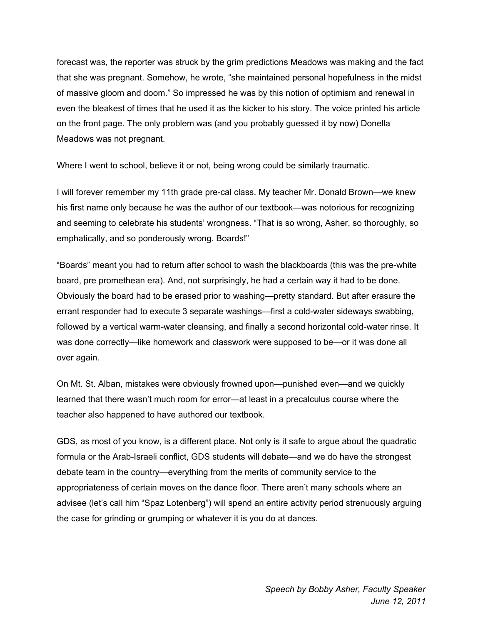forecast was, the reporter was struck by the grim predictions Meadows was making and the fact that she was pregnant. Somehow, he wrote, "she maintained personal hopefulness in the midst of massive gloom and doom." So impressed he was by this notion of optimism and renewal in even the bleakest of times that he used it as the kicker to his story. The voice printed his article on the front page. The only problem was (and you probably guessed it by now) Donella Meadows was not pregnant.

Where I went to school, believe it or not, being wrong could be similarly traumatic.

I will forever remember my 11th grade pre-cal class. My teacher Mr. Donald Brown—we knew his first name only because he was the author of our textbook—was notorious for recognizing and seeming to celebrate his students' wrongness. "That is so wrong, Asher, so thoroughly, so emphatically, and so ponderously wrong. Boards!"

"Boards" meant you had to return after school to wash the blackboards (this was the pre-white board, pre promethean era). And, not surprisingly, he had a certain way it had to be done. Obviously the board had to be erased prior to washing—pretty standard. But after erasure the errant responder had to execute 3 separate washings—first a cold-water sideways swabbing, followed by a vertical warm-water cleansing, and finally a second horizontal cold-water rinse. It was done correctly—like homework and classwork were supposed to be—or it was done all over again.

On Mt. St. Alban, mistakes were obviously frowned upon—punished even—and we quickly learned that there wasn't much room for error—at least in a precalculus course where the teacher also happened to have authored our textbook.

GDS, as most of you know, is a different place. Not only is it safe to argue about the quadratic formula or the Arab-Israeli conflict, GDS students will debate—and we do have the strongest debate team in the country—everything from the merits of community service to the appropriateness of certain moves on the dance floor. There aren't many schools where an advisee (let's call him "Spaz Lotenberg") will spend an entire activity period strenuously arguing the case for grinding or grumping or whatever it is you do at dances.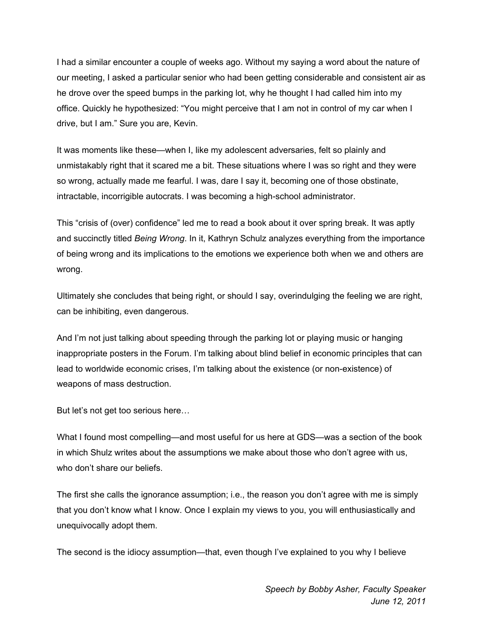I had a similar encounter a couple of weeks ago. Without my saying a word about the nature of our meeting, I asked a particular senior who had been getting considerable and consistent air as he drove over the speed bumps in the parking lot, why he thought I had called him into my office. Quickly he hypothesized: "You might perceive that I am not in control of my car when I drive, but I am." Sure you are, Kevin.

It was moments like these—when I, like my adolescent adversaries, felt so plainly and unmistakably right that it scared me a bit. These situations where I was so right and they were so wrong, actually made me fearful. I was, dare I say it, becoming one of those obstinate, intractable, incorrigible autocrats. I was becoming a high-school administrator.

This "crisis of (over) confidence" led me to read a book about it over spring break. It was aptly and succinctly titled *Being Wrong*. In it, Kathryn Schulz analyzes everything from the importance of being wrong and its implications to the emotions we experience both when we and others are wrong.

Ultimately she concludes that being right, or should I say, overindulging the feeling we are right, can be inhibiting, even dangerous.

And I'm not just talking about speeding through the parking lot or playing music or hanging inappropriate posters in the Forum. I'm talking about blind belief in economic principles that can lead to worldwide economic crises, I'm talking about the existence (or non-existence) of weapons of mass destruction.

But let's not get too serious here…

What I found most compelling—and most useful for us here at GDS—was a section of the book in which Shulz writes about the assumptions we make about those who don't agree with us, who don't share our beliefs.

The first she calls the ignorance assumption; i.e., the reason you don't agree with me is simply that you don't know what I know. Once I explain my views to you, you will enthusiastically and unequivocally adopt them.

The second is the idiocy assumption—that, even though I've explained to you why I believe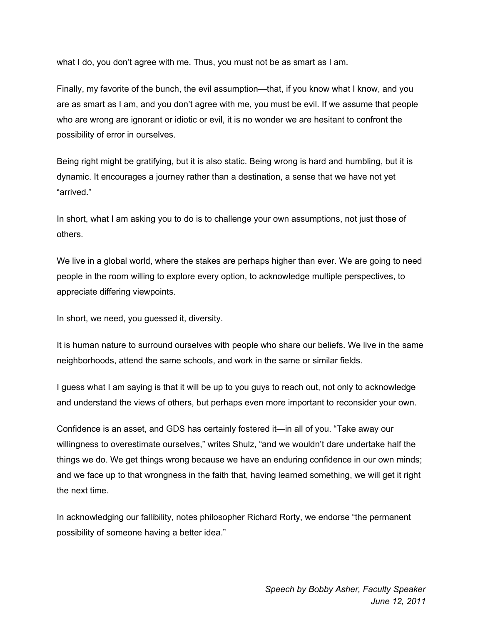what I do, you don't agree with me. Thus, you must not be as smart as I am.

Finally, my favorite of the bunch, the evil assumption—that, if you know what I know, and you are as smart as I am, and you don't agree with me, you must be evil. If we assume that people who are wrong are ignorant or idiotic or evil, it is no wonder we are hesitant to confront the possibility of error in ourselves.

Being right might be gratifying, but it is also static. Being wrong is hard and humbling, but it is dynamic. It encourages a journey rather than a destination, a sense that we have not yet "arrived."

In short, what I am asking you to do is to challenge your own assumptions, not just those of others.

We live in a global world, where the stakes are perhaps higher than ever. We are going to need people in the room willing to explore every option, to acknowledge multiple perspectives, to appreciate differing viewpoints.

In short, we need, you guessed it, diversity.

It is human nature to surround ourselves with people who share our beliefs. We live in the same neighborhoods, attend the same schools, and work in the same or similar fields.

I guess what I am saying is that it will be up to you guys to reach out, not only to acknowledge and understand the views of others, but perhaps even more important to reconsider your own.

Confidence is an asset, and GDS has certainly fostered it—in all of you. "Take away our willingness to overestimate ourselves," writes Shulz, "and we wouldn't dare undertake half the things we do. We get things wrong because we have an enduring confidence in our own minds; and we face up to that wrongness in the faith that, having learned something, we will get it right the next time.

In acknowledging our fallibility, notes philosopher Richard Rorty, we endorse "the permanent possibility of someone having a better idea."